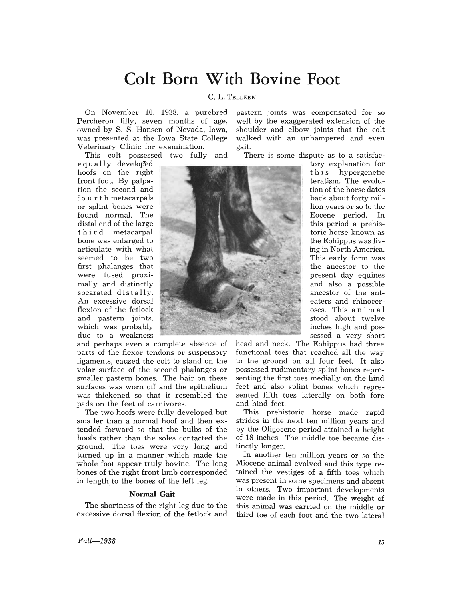# **Colt Born With Bovine Foot**

### C. L. TELLEEN

On November 10, 1938, a purebred Percheron filly, seven months of age, owned by S. S. Hansen of Nevada, Iowa, was presented at the Iowa State College Veterinary Clinic for examination.

This colt possessed two fully and

 $equally$  developed hoofs on the right front foot. By palpation the second and f o u r t h metacarpals or splint bones were found normal. The distal end of the large third metacarpal bone was enlarged to articulate with what seemed to be two first phalanges that were fused proximally and distinctly spearated distally. An excessive dorsal flexion of the fetlock and pastern joints, which was probably due to a weakness

and perhaps even a complete absence of parts of the flexor tendons or suspensory ligaments, caused the colt to stand on the volar surface of the second phalanges or smaller pastern bones. The hair on these surfaces was worn off and the epithelium was thickened so that it resembled the pads on the feet of carnivores.

The two hoofs were fully developed but smaller than a normal hoof and then extended forward so that the bulbs of the hoofs rather than the soles contacted the ground. The toes were very long and turned up in a manner which made the whole foot appear truly bovine. The long bones of the right front limb corresponded in length to the bones of the left leg.

#### **Normal Gait**

The shortness of the right leg due to the excessive dorsal flexion of the fetlock and pastern joints was compensated for so well by the exaggerated extension of the shoulder and elbow joints that the colt walked with an unhampered and even gait.

There is some dispute as to a satisfac-



tory explanation for t his hypergenetic teratism. The evolution of the horse dates back about forty million years or so to the Eocene period. In this period a prehistoric horse known as the Eohippus was livlng in North America. This early form was the ancestor to the present day equines and also a possible ancestor of the anteaters and rhinoceroses. This ani mal stood about twelve inches high and possessed a very short

head and neck. The Eohippus had three functional toes that reached all the way to the ground on all four feet. It also possessed rudimentary splint bones representing the first toes medially on the hind feet and also splint bones which represented fifth toes laterally on both fore and hind feet.

This prehistoric horse made rapid strides in the next ten million years and by the Oligocene period attained a height of 18 inches. The middle toe became distinctly longer.

In another ten million years or so the Miocene animal evolved and this type retained the vestiges of a fifth toes which was present in some specimens and absent in others. Two important developments were made in this period. The weight of this animal was carried on the middle or third toe of each foot and the two lateral